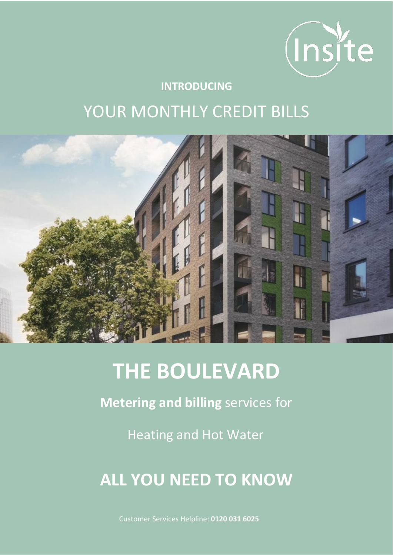

# **INTRODUCING** YOUR MONTHLY CREDIT BILLS



# **THE BOULEVARD**

**Metering and billing** services for

Heating and Hot Water

# **ALL YOU NEED TO KNOW**

Customer Services Helpline: **0120 031 6025**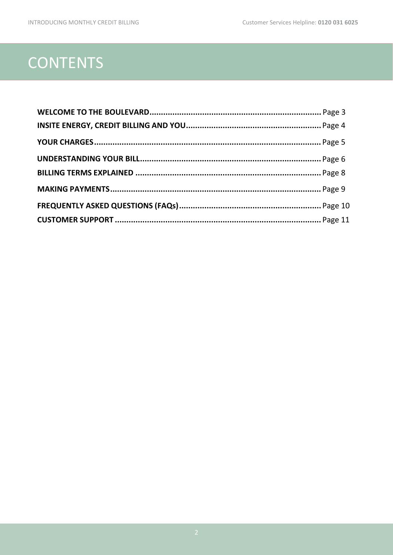# **CONTENTS**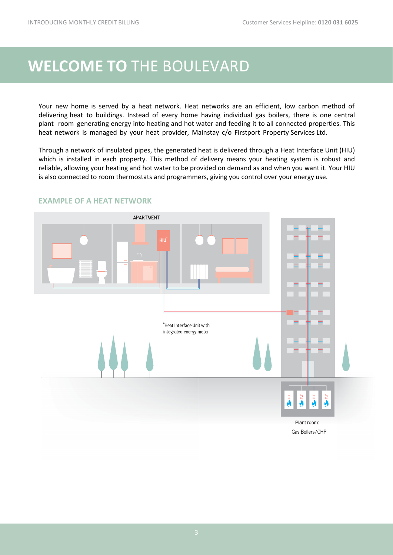### **WELCOME TO** [THE BOULEVARD](#page-2-0)

<span id="page-2-0"></span>Your new home is served by a heat network. Heat networks are an efficient, low carbon method of delivering heat to buildings. Instead of every home having individual gas boilers, there is one central plant room generating energy into heating and hot water and feeding it to all connected properties. This heat network is managed by your heat provider, Mainstay c/o Firstport Property Services Ltd.

Through a network of insulated pipes, the generated heat is delivered through a Heat Interface Unit (HIU) which is installed in each property. This method of delivery means your heating system is robust and reliable, allowing your heating and hot water to be provided on demand as and when you want it. Your HIU is also connected to room thermostats and programmers, giving you control over your energy use.



### **EXAMPLE OF A HEAT NETWORK**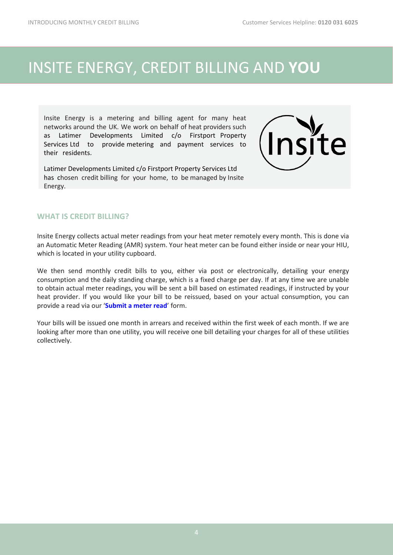### WELCOME TO THE BOULEVA RD

Your new home is served by a heat network. Heat networks are an efficient, low carbon method of delivering heat to buildings. Instead of every home having individual gas boilers, there is one central plant room generating energy into heating and hot water and feeding it to all connected properties. This heat network is managed by your heat provider, Mainstay c/o ir t ort ro ert Ser i e Ltd.

Through a network of insulated pipes, the generated heat is delivered through a Heat Interface Unit (HIU) which is installed in each property. This method of delivery means your heating system is robust and reliable, allowing your heating and hot water to be provided on demand as and when you want it. Your HIU is also connected to room thermostats and programmers, giving you control over your energy use.



### **EXAMPLE OF A HEAT NETWORK**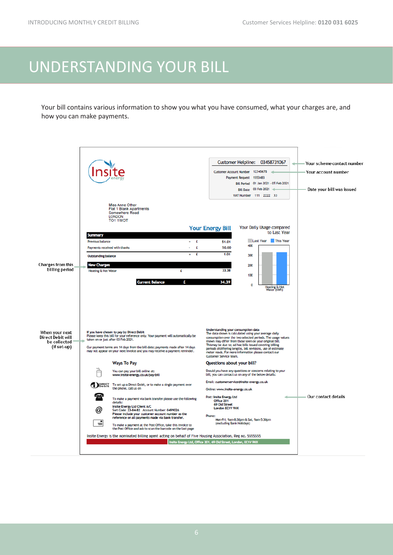## [UNDERSTANDING Y](#page-5-0)OUR BILL

<span id="page-5-0"></span>Your bill contains various information to show you what you have consumed, what your charges are, and how you can make payments.

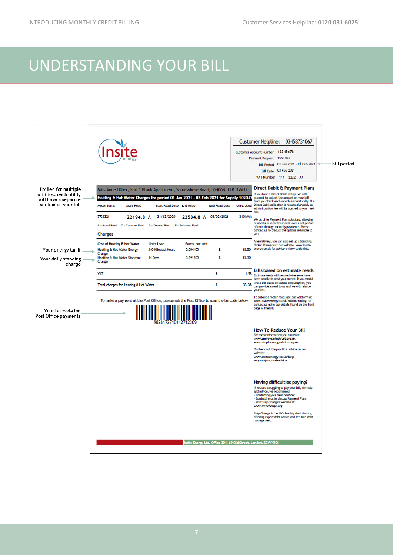# <span id="page-6-0"></span>[UNDERSTANDING Y](#page-6-0)OUR BILL

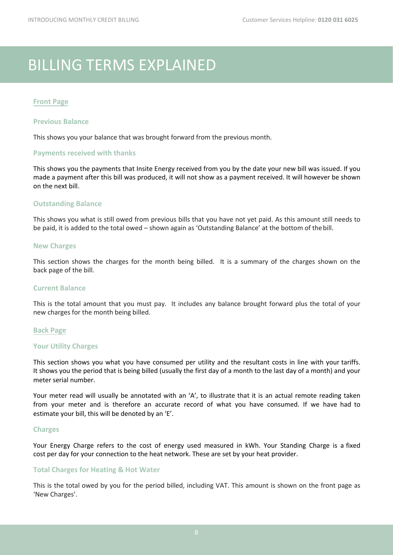# BILLING TERMS EXPLAINED

#### **Front Page**

#### **Previous Balance**

This shows you your balance that was brought forward from the previous month.

#### **Payments received with thanks**

This shows you the payments that Insite Energy received from you by the date your new bill was issued. If you made a payment after this bill was produced, it will not show as a payment received. It will however be shown on the next bill.

#### **Outstanding Balance**

This shows you what is still owed from previous bills that you have not yet paid. As this amount still needs to be paid, it is added to the total owed – shown again as 'Outstanding Balance' at the bottom of thebill.

#### **New Charges**

This section shows the charges for the month being billed. It is a summary of the charges shown on the back page of the bill.

#### **Current Balance**

This is the total amount that you must pay. It includes any balance brought forward plus the total of your new charges for the month being billed.

#### **Back Page**

#### **Your Utility Charges**

This section shows you what you have consumed per utility and the resultant costs in line with your tariffs. It shows you the period that is being billed (usually the first day of a month to the last day of a month) and your meter serial number.

Your meter read will usually be annotated with an 'A', to illustrate that it is an actual remote reading taken from your meter and is therefore an accurate record of what you have consumed. If we have had to estimate your bill, this will be denoted by an 'E'.

#### **Charges**

Your Energy Charge refers to the cost of energy used measured in kWh. Your Standing Charge is a fixed cost per day for your connection to the heat network. These are set by your heat provider.

#### **Total Charges for Heating & Hot Water**

This is the total owed by you for the period billed, including VAT. This amount is shown on the front page as 'New Charges'.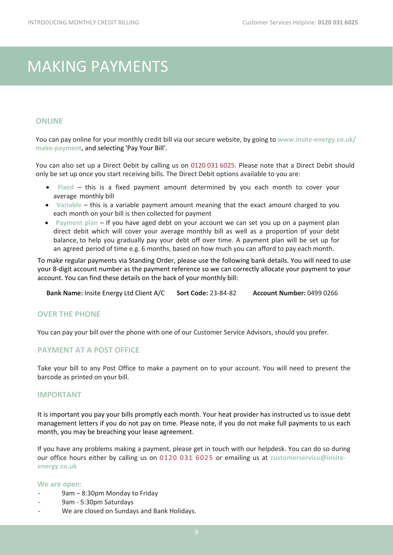# <span id="page-8-0"></span>[MAKING PAYMENTS](#page-8-0)

### **ONLINE**

You can pay online for your monthly credit bill via our secure website, by going to **www.insite-energy.co.uk/ make-payment**, and selecting 'Pay Your Bill'.

You can also set up a Direct Debit by calling us on 0120 031 6025. Please note that a Direct Debit should only be set up once you start receiving bills. The Direct Debit options available to you are:

- **Fixed** this is a fixed payment amount determined by you each month to cover your average monthly bill
- **Variable** this is a variable payment amount meaning that the exact amount charged to you each month on your bill is then collected for payment
- **Payment plan**  If you have aged debt on your account we can set you up on a payment plan direct debit which will cover your average monthly bill as well as a proportion of your debt balance, to help you gradually pay your debt off over time. A payment plan will be set up for an agreed period of time e.g. 6 months, based on how much you can afford to pay each month.

To make regular payments via Standing Order, please use the following bank details. You will need to use your 8-digit account number as the payment reference so we can correctly allocate your payment to your account. You can find these details on the back of your monthly bill:

**Bank Name:** Insite Energy Ltd Client A/C **Sort Code:** 23-84-82 **Account Number:** 0499 0266

#### **OVER THE PHONE**

You can pay your bill over the phone with one of our Customer Service Advisors, should you prefer.

### **PAYMENT AT A POST OFFICE**

Take your bill to any Post Office to make a payment on to your account. You will need to present the barcode as printed on your bill.

### **IMPORTANT**

It is important you pay your bills promptly each month. Your heat provider has instructed us to issue debt management letters if you do not pay on time. Please note, if you do not make full payments to us each month, you may be breaching your lease agreement.

If you have any problems making a payment, please get in touch with our helpdesk. You can do so during our office hours either by calling us on 0120 031 6025 or emailing us at **customerservice@insiteenergy.co.uk** 

#### **We are open:**

- 9am 8:30pm Monday to Friday
- 9am 5:30pm Saturdays
- We are closed on Sundays and Bank Holidays.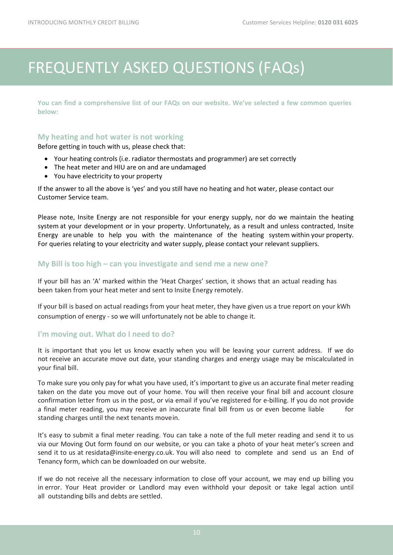# [FREQUENTLY ASKED QUESTIONS \(FAQs\)](#page-9-0)

<span id="page-9-0"></span>**You can find a comprehensive list of our FAQs on our website. We've selected a few common queries below:** 

#### **My heating and hot water is not working**

Before getting in touch with us, please check that:

- Your heating controls (i.e. radiator thermostats and programmer) are set correctly
- The heat meter and HIU are on and are undamaged
- You have electricity to your property

If the answer to all the above is 'yes' and you still have no heating and hot water, please contact our Customer Service team.

Please note, Insite Energy are not responsible for your energy supply, nor do we maintain the heating system at your development or in your property. Unfortunately, as a result and unless contracted, Insite Energy are unable to help you with the maintenance of the heating system within your property. For queries relating to your electricity and water supply, please contact your relevant suppliers.

#### **My Bill is too high – can you investigate and send me a new one?**

If your bill has an 'A' marked within the 'Heat Charges' section, it shows that an actual reading has been taken from your heat meter and sent to Insite Energy remotely.

If your bill is based on actual readings from your heat meter, they have given us a true report on your kWh consumption of energy - so we will unfortunately not be able to change it.

#### **I'm moving out. What do I need to do?**

It is important that you let us know exactly when you will be leaving your current address. If we do not receive an accurate move out date, your standing charges and energy usage may be miscalculated in your final bill.

To make sure you only pay for what you have used, it's important to give us an accurate final meter reading taken on the date you move out of your home. You will then receive your final bill and account closure confirmation letter from us in the post, or via email if you've registered for e-billing. If you do not provide a final meter reading, you may receive an inaccurate final bill from us or even become liable for standing charges until the next tenants movein.

It's easy to submit a final meter reading. You can take a note of the full meter reading and send it to us via our Moving Out form found on our website, or you can take a photo of your heat meter's screen and send it to us a[t residata@insite-energy.co.uk.](mailto:residata@insite-energy.co.uk) You will also need to complete and send us an End of Tenancy form, which can be downloaded on our website.

If we do not receive all the necessary information to close off your account, we may end up billing you in error. Your Heat provider or Landlord may even withhold your deposit or take legal action until all outstanding bills and debts are settled.